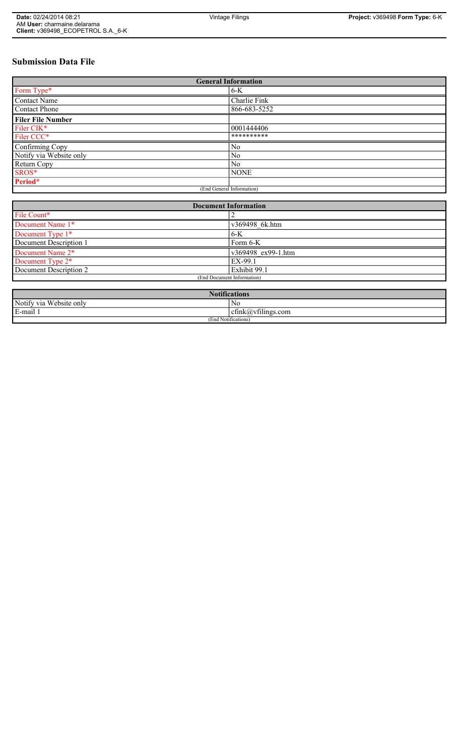# **Submission Data File**

| <b>General Information</b> |                |
|----------------------------|----------------|
| Form Type*                 | $6-K$          |
| <b>Contact Name</b>        | Charlie Fink   |
| <b>Contact Phone</b>       | 866-683-5252   |
| <b>Filer File Number</b>   |                |
| Filer CIK*                 | 0001444406     |
| Filer CCC*                 | **********     |
| Confirming Copy            | N <sub>0</sub> |
| Notify via Website only    | N <sub>0</sub> |
| Return Copy                | N <sub>0</sub> |
| SROS*                      | <b>NONE</b>    |
| Period*                    |                |
| (End General Information)  |                |

| <b>Document Information</b>  |                    |
|------------------------------|--------------------|
| File Count*                  |                    |
| Document Name 1*             | v369498 6k.htm     |
| Document Type 1*             | $6 - K$            |
| Document Description 1       | Form $6-K$         |
| Document Name 2*             | v369498 ex99-1.htm |
| Document Type 2 <sup>*</sup> | EX-99.1            |
| Document Description 2       | Exhibit 99.1       |
| (End Document Information)   |                    |
|                              |                    |

| Notifi<br>fications          |                                   |
|------------------------------|-----------------------------------|
| Notify via<br>u Website only | No                                |
| E-mail                       | $\sim$ 1.<br>cfink(a)vfilings.com |
| (End Notifications)          |                                   |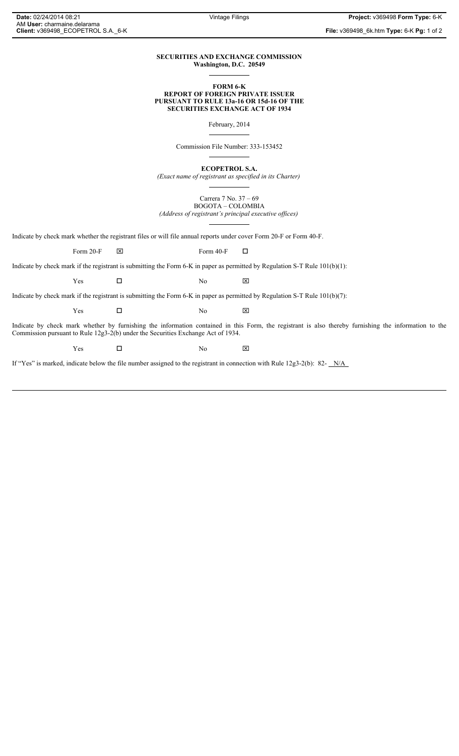**File:** v369498\_6k.htm **Type:** 6-K **Pg:** 1 of 2

## **SECURITIES AND EXCHANGE COMMISSION Washington, D.C. 20549**

**FORM 6-K**

### **REPORT OF FOREIGN PRIVATE ISSUER PURSUANT TO RULE 13a-16 OR 15d-16 OF THE SECURITIES EXCHANGE ACT OF 1934**

February, 2014

Commission File Number: 333-153452

**ECOPETROL S.A.**

*(Exact name of registrant as specified in its Charter)*

Carrera 7 No. 37 – 69 BOGOTA – COLOMBIA

*(Address of registrant's principal executive offices)*

Indicate by check mark whether the registrant files or will file annual reports under cover Form 20-F or Form 40-F.

Form 20-F  $\boxtimes$  Form 40-F  $\Box$ 

Indicate by check mark if the registrant is submitting the Form 6-K in paper as permitted by Regulation S-T Rule 101(b)(1):

Indicate by check mark if the registrant is submitting the Form 6-K in paper as permitted by Regulation S-T Rule 101(b)(7):

 $Yes$   $\Box$  No  $X$ 

 $Yes$   $\Box$  No  $X$ 

Indicate by check mark whether by furnishing the information contained in this Form, the registrant is also thereby furnishing the information to the Commission pursuant to Rule 12g3-2(b) under the Securities Exchange Act of 1934.

 $Yes$   $\square$  No  $X$ 

If "Yes" is marked, indicate below the file number assigned to the registrant in connection with Rule 12g3-2(b): 82-  $N/A$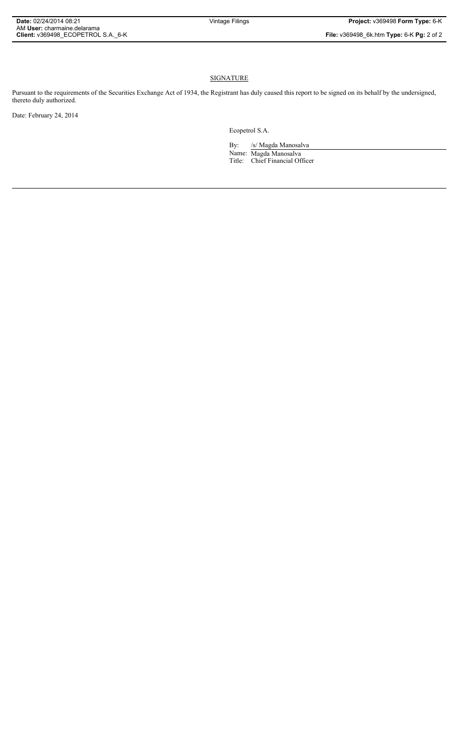## **SIGNATURE**

Pursuant to the requirements of the Securities Exchange Act of 1934, the Registrant has duly caused this report to be signed on its behalf by the undersigned, thereto duly authorized.

Date: February 24, 2014

Ecopetrol S.A.

By: /s/ Magda Manosalva Name: Magda Manosalva Title: Chief Financial Officer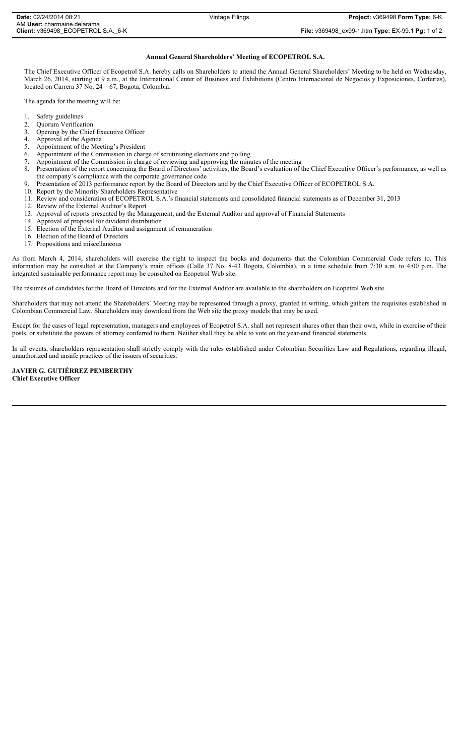#### **Annual General Shareholders' Meeting of ECOPETROL S.A.**

The Chief Executive Officer of Ecopetrol S.A. hereby calls on Shareholders to attend the Annual General Shareholders' Meeting to be held on Wednesday, March 26, 2014, starting at 9 a.m., at the International Center of Business and Exhibitions (Centro Internacional de Negocios y Exposiciones, Corferias), located on Carrera 37 No. 24 – 67, Bogota, Colombia.

The agenda for the meeting will be:

- 1. Safety guidelines
- 2. Quorum Verification<br>3. Opening by the Chief
- 3. Opening by the Chief Executive Officer<br>4. Approval of the Agenda
- 4. Approval of the Agenda<br>5. Appointment of the Mee
- 5. Appointment of the Meeting's President
- 6. Appointment of the Commission in charge of scrutinizing elections and polling
- 7. Appointment of the Commission in charge of reviewing and approving the minutes of the meeting
- 8. Presentation of the report concerning the Board of Directors' activities, the Board's evaluation of the Chief Executive Officer's performance, as well as the company's compliance with the corporate governance code
- 9. Presentation of 2013 performance report by the Board of Directors and by the Chief Executive Officer of ECOPETROL S.A.
- 10. Report by the Minority Shareholders Representative
- 11. Review and consideration of ECOPETROL S.A.'s financial statements and consolidated financial statements as of December 31, 2013
- 12. Review of the External Auditor's Report
- 13. Approval of reports presented by the Management, and the External Auditor and approval of Financial Statements
- 14. Approval of proposal for dividend distribution
- 15. Election of the External Auditor and assignment of remuneration
- 16. Election of the Board of Directors
- 17. Propositions and miscellaneous

As from March 4, 2014, shareholders will exercise the right to inspect the books and documents that the Colombian Commercial Code refers to. This information may be consulted at the Company's main offices (Calle 37 No. 8-43 Bogota, Colombia), in a time schedule from 7:30 a.m. to 4:00 p.m. The integrated sustainable performance report may be consulted on Ecopetrol Web site.

The résumés of candidates for the Board of Directors and for the External Auditor are available to the shareholders on Ecopetrol Web site.

Shareholders that may not attend the Shareholders´ Meeting may be represented through a proxy, granted in writing, which gathers the requisites established in Colombian Commercial Law. Shareholders may download from the Web site the proxy models that may be used.

Except for the cases of legal representation, managers and employees of Ecopetrol S.A. shall not represent shares other than their own, while in exercise of their posts, or substitute the powers of attorney conferred to them. Neither shall they be able to vote on the year-end financial statements.

In all events, shareholders representation shall strictly comply with the rules established under Colombian Securities Law and Regulations, regarding illegal, unauthorized and unsafe practices of the issuers of securities.

#### **JAVIER G. GUTIÉRREZ PEMBERTHY Chief Executive Officer**